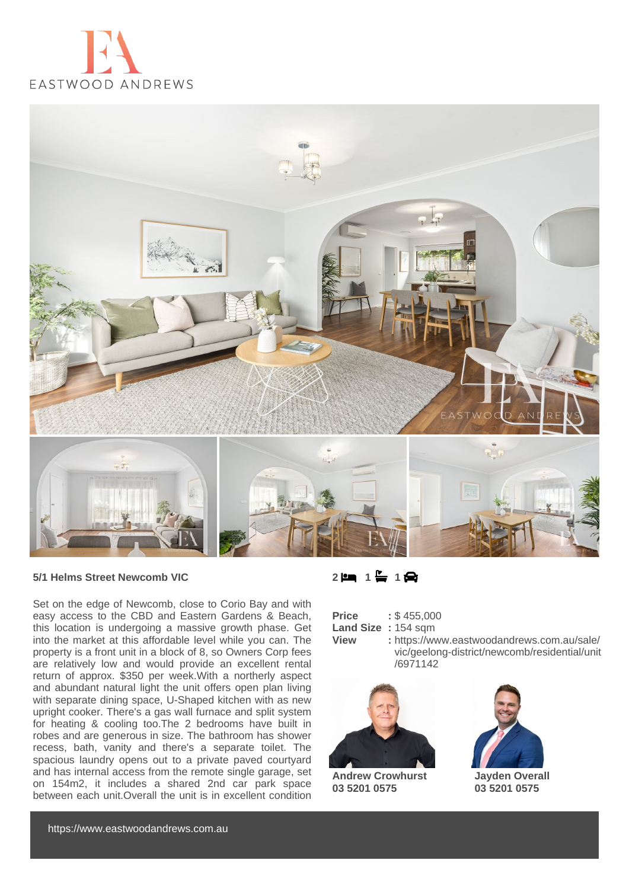



## **5/1 Helms Street Newcomb VIC**

Set on the edge of Newcomb, close to Corio Bay and with easy access to the CBD and Eastern Gardens & Beach, this location is undergoing a massive growth phase. Get into the market at this affordable level while you can. The property is a front unit in a block of 8, so Owners Corp fees are relatively low and would provide an excellent rental return of approx. \$350 per week.With a northerly aspect and abundant natural light the unit offers open plan living with separate dining space, U-Shaped kitchen with as new upright cooker. There's a gas wall furnace and split system for heating & cooling too.The 2 bedrooms have built in robes and are generous in size. The bathroom has shower recess, bath, vanity and there's a separate toilet. The spacious laundry opens out to a private paved courtyard and has internal access from the remote single garage, set on 154m2, it includes a shared 2nd car park space between each unit.Overall the unit is in excellent condition

| $1 \bigoplus$<br>ها 2<br>$\overline{\phantom{a}}$ |  |
|---------------------------------------------------|--|
|---------------------------------------------------|--|

| <b>Price</b> |           |  |  | : \$455,000 |
|--------------|-----------|--|--|-------------|
|              | $1 - 100$ |  |  |             |

- **Land Size :** 154 sqm
- **View :** https://www.eastwoodandrews.com.au/sale/ vic/geelong-district/newcomb/residential/unit /6971142



**Andrew Crowhurst 03 5201 0575**



**Jayden Overall 03 5201 0575**